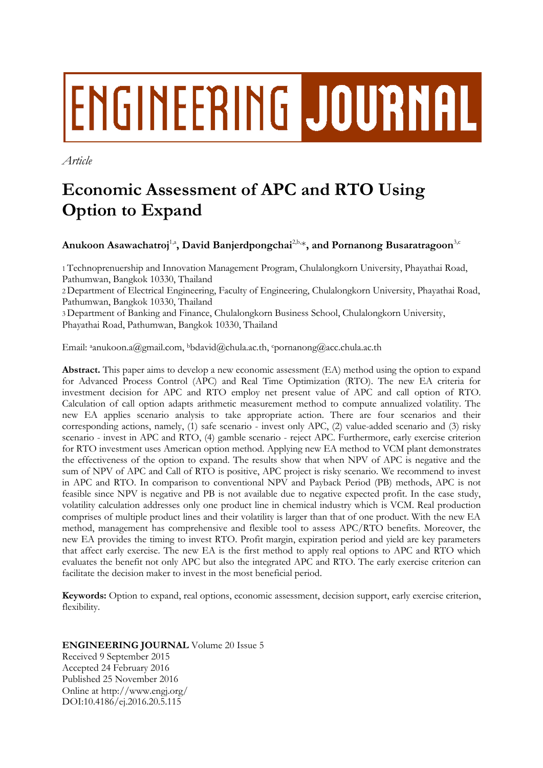# ENGINEERING JOURNAL

*Article*

# **Economic Assessment of APC and RTO Using Option to Expand**

 $\mathbf{A}$ nukoon Asawachatroj<sup>1,a</sup>, David Banjerdpongchai<sup>2,b,</sup>\*, and Pornanong Busaratragoon<sup>3,c</sup>

1 Technoprenuership and Innovation Management Program, Chulalongkorn University, Phayathai Road, Pathumwan, Bangkok 10330, Thailand

2 Department of Electrical Engineering, Faculty of Engineering, Chulalongkorn University, Phayathai Road, Pathumwan, Bangkok 10330, Thailand

3 Department of Banking and Finance, Chulalongkorn Business School, Chulalongkorn University, Phayathai Road, Pathumwan, Bangkok 10330, Thailand

Email: ªanukoon.a@gmail.com, <sup>b</sup>bdavid@chula.ac.th, <sup>c</sup>pornanong@acc.chula.ac.th

**Abstract.** This paper aims to develop a new economic assessment (EA) method using the option to expand for Advanced Process Control (APC) and Real Time Optimization (RTO). The new EA criteria for investment decision for APC and RTO employ net present value of APC and call option of RTO. Calculation of call option adapts arithmetic measurement method to compute annualized volatility. The new EA applies scenario analysis to take appropriate action. There are four scenarios and their corresponding actions, namely, (1) safe scenario - invest only APC, (2) value-added scenario and (3) risky scenario - invest in APC and RTO, (4) gamble scenario - reject APC. Furthermore, early exercise criterion for RTO investment uses American option method. Applying new EA method to VCM plant demonstrates the effectiveness of the option to expand. The results show that when NPV of APC is negative and the sum of NPV of APC and Call of RTO is positive, APC project is risky scenario. We recommend to invest in APC and RTO. In comparison to conventional NPV and Payback Period (PB) methods, APC is not feasible since NPV is negative and PB is not available due to negative expected profit. In the case study, volatility calculation addresses only one product line in chemical industry which is VCM. Real production comprises of multiple product lines and their volatility is larger than that of one product. With the new EA method, management has comprehensive and flexible tool to assess APC/RTO benefits. Moreover, the new EA provides the timing to invest RTO. Profit margin, expiration period and yield are key parameters that affect early exercise. The new EA is the first method to apply real options to APC and RTO which evaluates the benefit not only APC but also the integrated APC and RTO. The early exercise criterion can facilitate the decision maker to invest in the most beneficial period.

**Keywords:** Option to expand, real options, economic assessment, decision support, early exercise criterion, flexibility.

**ENGINEERING JOURNAL** Volume 20 Issue 5 Received 9 September 2015 Accepted 24 February 2016 Published 25 November 2016 Online at http://www.engj.org/ DOI:10.4186/ej.2016.20.5.115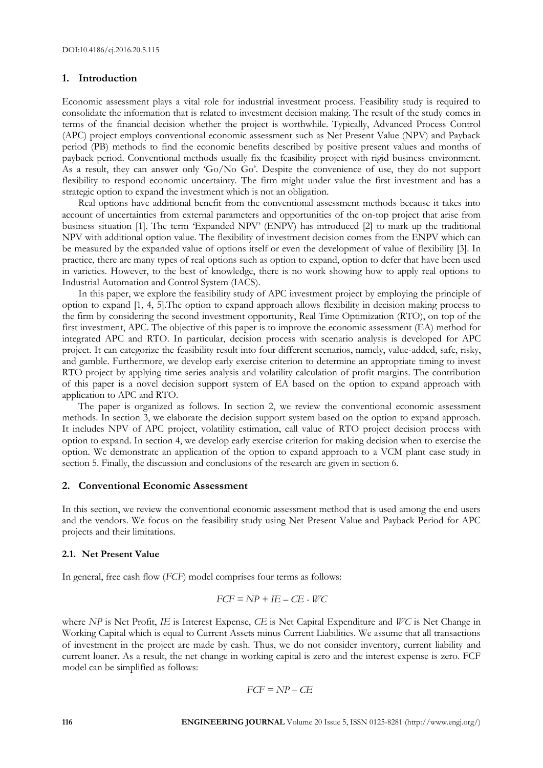# **1. Introduction**

Economic assessment plays a vital role for industrial investment process. Feasibility study is required to consolidate the information that is related to investment decision making. The result of the study comes in terms of the financial decision whether the project is worthwhile. Typically, Advanced Process Control (APC) project employs conventional economic assessment such as Net Present Value (NPV) and Payback period (PB) methods to find the economic benefits described by positive present values and months of payback period. Conventional methods usually fix the feasibility project with rigid business environment. As a result, they can answer only 'Go/No Go'. Despite the convenience of use, they do not support flexibility to respond economic uncertainty. The firm might under value the first investment and has a strategic option to expand the investment which is not an obligation.

Real options have additional benefit from the conventional assessment methods because it takes into account of uncertainties from external parameters and opportunities of the on-top project that arise from business situation [1]. The term 'Expanded NPV' (ENPV) has introduced [2] to mark up the traditional NPV with additional option value. The flexibility of investment decision comes from the ENPV which can be measured by the expanded value of options itself or even the development of value of flexibility [3]. In practice, there are many types of real options such as option to expand, option to defer that have been used in varieties. However, to the best of knowledge, there is no work showing how to apply real options to Industrial Automation and Control System (IACS).

In this paper, we explore the feasibility study of APC investment project by employing the principle of option to expand [1, 4, 5].The option to expand approach allows flexibility in decision making process to the firm by considering the second investment opportunity, Real Time Optimization (RTO), on top of the first investment, APC. The objective of this paper is to improve the economic assessment (EA) method for integrated APC and RTO. In particular, decision process with scenario analysis is developed for APC project. It can categorize the feasibility result into four different scenarios, namely, value-added, safe, risky, and gamble. Furthermore, we develop early exercise criterion to determine an appropriate timing to invest RTO project by applying time series analysis and volatility calculation of profit margins. The contribution of this paper is a novel decision support system of EA based on the option to expand approach with application to APC and RTO.

The paper is organized as follows. In section 2, we review the conventional economic assessment methods. In section 3, we elaborate the decision support system based on the option to expand approach. It includes NPV of APC project, volatility estimation, call value of RTO project decision process with option to expand. In section 4, we develop early exercise criterion for making decision when to exercise the option. We demonstrate an application of the option to expand approach to a VCM plant case study in section 5. Finally, the discussion and conclusions of the research are given in section 6.

# **2. Conventional Economic Assessment**

In this section, we review the conventional economic assessment method that is used among the end users and the vendors. We focus on the feasibility study using Net Present Value and Payback Period for APC projects and their limitations.

#### **2.1. Net Present Value**

In general, free cash flow (*FCF*) model comprises four terms as follows:

$$
FCF = NP + IE - CE - WC
$$

where *NP* is Net Profit, *IE* is Interest Expense, *CE* is Net Capital Expenditure and *WC* is Net Change in Working Capital which is equal to Current Assets minus Current Liabilities. We assume that all transactions of investment in the project are made by cash. Thus, we do not consider inventory, current liability and current loaner. As a result, the net change in working capital is zero and the interest expense is zero. FCF model can be simplified as follows:

$$
FCF = NP - CE
$$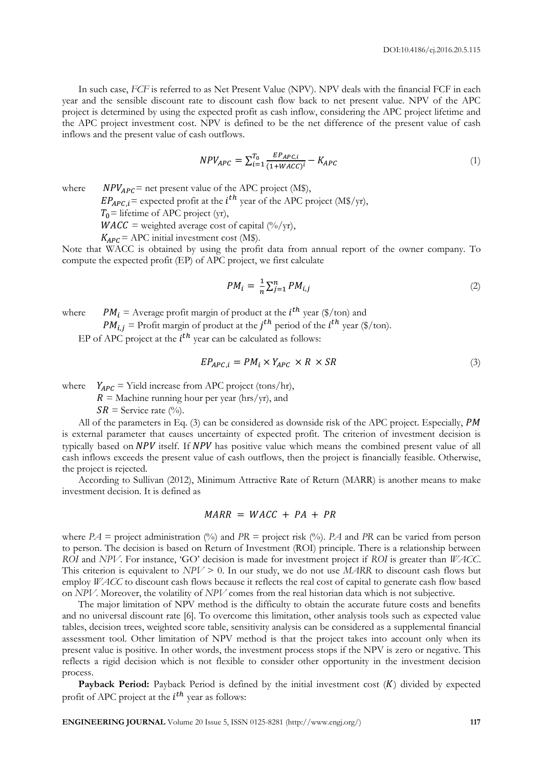In such case, *FCF* is referred to as Net Present Value (NPV). NPV deals with the financial FCF in each year and the sensible discount rate to discount cash flow back to net present value. NPV of the APC project is determined by using the expected profit as cash inflow, considering the APC project lifetime and the APC project investment cost. NPV is defined to be the net difference of the present value of cash inflows and the present value of cash outflows.

$$
NPV_{APC} = \sum_{i=1}^{T_0} \frac{E_{PAPC,i}}{(1 + WACC)^i} - K_{APC}
$$
 (1)

where  $NPV_{APC}$  = net present value of the APC project (M\$),

 $EP_{APC,i}$  = expected profit at the *i*<sup>th</sup> year of the APC project (M\$/yr),

 $T_0$ = lifetime of APC project (yr),

 $WACC = weighted average cost of capital (%/yr),$ 

 $K_{APC}$  = APC initial investment cost (M\$).

Note that WACC is obtained by using the profit data from annual report of the owner company. To compute the expected profit (EP) of APC project, we first calculate

$$
PM_i = \frac{1}{n} \sum_{j=1}^n PM_{i,j} \tag{2}
$$

where  $PM_i =$  Average profit margin of product at the  $i^{th}$  year (\$/ton) and

 $PM_{i,j}$  = Profit margin of product at the  $j^{th}$  period of the  $i^{th}$  year (\$/ton).

EP of APC project at the  $i^{th}$  year can be calculated as follows:

$$
EP_{APC,i} = PM_i \times Y_{APC} \times R \times SR
$$
\n<sup>(3)</sup>

where  $Y_{APC}$  = Yield increase from APC project (tons/hr),

 $R =$  Machine running hour per year (hrs/yr), and

 $SR =$  Service rate (%).

All of the parameters in Eq.  $(3)$  can be considered as downside risk of the APC project. Especially, PM is external parameter that causes uncertainty of expected profit. The criterion of investment decision is typically based on NPV itself. If NPV has positive value which means the combined present value of all cash inflows exceeds the present value of cash outflows, then the project is financially feasible. Otherwise, the project is rejected.

According to Sullivan (2012), Minimum Attractive Rate of Return (MARR) is another means to make investment decision. It is defined as

# $MARR = WACC + PA + PR$

where  $PA =$  project administration (%) and  $PR =$  project risk (%).  $PA$  and  $PR$  can be varied from person to person. The decision is based on Return of Investment (ROI) principle. There is a relationship between *ROI* and *NPV*. For instance, 'GO' decision is made for investment project if *ROI* is greater than *WACC*. This criterion is equivalent to *NPV* > 0. In our study, we do not use *MARR* to discount cash flows but employ *WACC* to discount cash flows because it reflects the real cost of capital to generate cash flow based on *NPV*. Moreover, the volatility of *NPV* comes from the real historian data which is not subjective.

The major limitation of NPV method is the difficulty to obtain the accurate future costs and benefits and no universal discount rate [6]. To overcome this limitation, other analysis tools such as expected value tables, decision trees, weighted score table, sensitivity analysis can be considered as a supplemental financial assessment tool. Other limitation of NPV method is that the project takes into account only when its present value is positive. In other words, the investment process stops if the NPV is zero or negative. This reflects a rigid decision which is not flexible to consider other opportunity in the investment decision process.

**Payback Period:** Payback Period is defined by the initial investment cost (K) divided by expected profit of APC project at the  $i^{th}$  year as follows: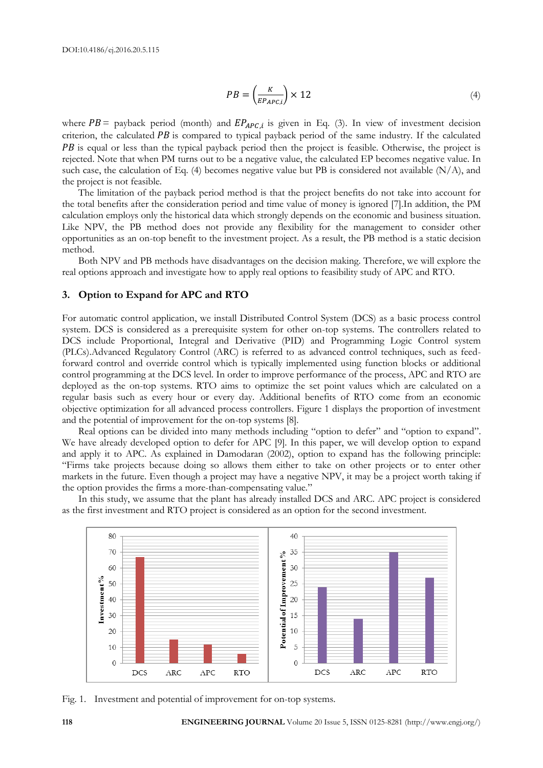$$
PB = \left(\frac{K}{E_{PAPC,i}}\right) \times 12\tag{4}
$$

where  $PB =$  payback period (month) and  $EP_{APC,i}$  is given in Eq. (3). In view of investment decision criterion, the calculated  $PB$  is compared to typical payback period of the same industry. If the calculated **PB** is equal or less than the typical payback period then the project is feasible. Otherwise, the project is rejected. Note that when PM turns out to be a negative value, the calculated EP becomes negative value. In such case, the calculation of Eq. (4) becomes negative value but PB is considered not available (N/A), and the project is not feasible.

The limitation of the payback period method is that the project benefits do not take into account for the total benefits after the consideration period and time value of money is ignored [7].In addition, the PM calculation employs only the historical data which strongly depends on the economic and business situation. Like NPV, the PB method does not provide any flexibility for the management to consider other opportunities as an on-top benefit to the investment project. As a result, the PB method is a static decision method.

Both NPV and PB methods have disadvantages on the decision making. Therefore, we will explore the real options approach and investigate how to apply real options to feasibility study of APC and RTO.

## **3. Option to Expand for APC and RTO**

For automatic control application, we install Distributed Control System (DCS) as a basic process control system. DCS is considered as a prerequisite system for other on-top systems. The controllers related to DCS include Proportional, Integral and Derivative (PID) and Programming Logic Control system (PLCs).Advanced Regulatory Control (ARC) is referred to as advanced control techniques, such as feedforward control and override control which is typically implemented using function blocks or additional control programming at the DCS level. In order to improve performance of the process, APC and RTO are deployed as the on-top systems. RTO aims to optimize the set point values which are calculated on a regular basis such as every hour or every day. Additional benefits of RTO come from an economic objective optimization for all advanced process controllers. Figure 1 displays the proportion of investment and the potential of improvement for the on-top systems [8].

Real options can be divided into many methods including "option to defer" and "option to expand". We have already developed option to defer for APC [9]. In this paper, we will develop option to expand and apply it to APC. As explained in Damodaran (2002), option to expand has the following principle: "Firms take projects because doing so allows them either to take on other projects or to enter other markets in the future. Even though a project may have a negative NPV, it may be a project worth taking if the option provides the firms a more-than-compensating value."

In this study, we assume that the plant has already installed DCS and ARC. APC project is considered as the first investment and RTO project is considered as an option for the second investment.



Fig. 1. Investment and potential of improvement for on-top systems.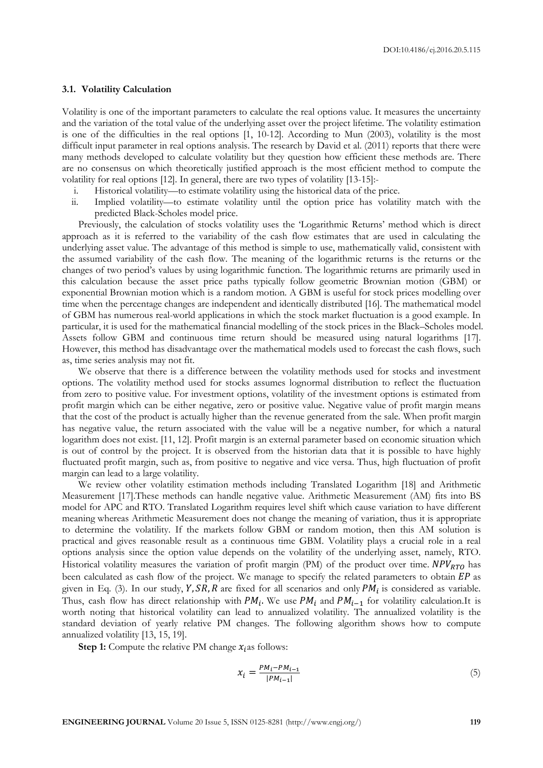#### **3.1. Volatility Calculation**

Volatility is one of the important parameters to calculate the real options value. It measures the uncertainty and the variation of the total value of the underlying asset over the project lifetime. The volatility estimation is one of the difficulties in the real options [1, 10-12]. According to Mun (2003), volatility is the most difficult input parameter in real options analysis. The research by David et al. (2011) reports that there were many methods developed to calculate volatility but they question how efficient these methods are. There are no consensus on which theoretically justified approach is the most efficient method to compute the volatility for real options [12]. In general, there are two types of volatility [13-15]:-

- i. Historical volatility—to estimate volatility using the historical data of the price.
- ii. Implied volatility—to estimate volatility until the option price has volatility match with the predicted Black-Scholes model price.

Previously, the calculation of stocks volatility uses the 'Logarithmic Returns' method which is direct approach as it is referred to the variability of the cash flow estimates that are used in calculating the underlying asset value. The advantage of this method is simple to use, mathematically valid, consistent with the assumed variability of the cash flow. The meaning of the logarithmic returns is the returns or the changes of two period's values by using logarithmic function. The logarithmic returns are primarily used in this calculation because the asset price paths typically follow geometric Brownian motion (GBM) or exponential Brownian motion which is a random motion. A GBM is useful for stock prices modelling over time when the percentage changes are independent and identically distributed [16]. The mathematical model of GBM has numerous real-world applications in which the stock market fluctuation is a good example. In particular, it is used for the mathematical financial modelling of the stock prices in the Black–Scholes model. Assets follow GBM and continuous time return should be measured using natural logarithms [17]. However, this method has disadvantage over the mathematical models used to forecast the cash flows, such as, time series analysis may not fit.

We observe that there is a difference between the volatility methods used for stocks and investment options. The volatility method used for stocks assumes lognormal distribution to reflect the fluctuation from zero to positive value. For investment options, volatility of the investment options is estimated from profit margin which can be either negative, zero or positive value. Negative value of profit margin means that the cost of the product is actually higher than the revenue generated from the sale. When profit margin has negative value, the return associated with the value will be a negative number, for which a natural logarithm does not exist. [11, 12]. Profit margin is an external parameter based on economic situation which is out of control by the project. It is observed from the historian data that it is possible to have highly fluctuated profit margin, such as, from positive to negative and vice versa. Thus, high fluctuation of profit margin can lead to a large volatility.

We review other volatility estimation methods including Translated Logarithm [18] and Arithmetic Measurement [17].These methods can handle negative value. Arithmetic Measurement (AM) fits into BS model for APC and RTO. Translated Logarithm requires level shift which cause variation to have different meaning whereas Arithmetic Measurement does not change the meaning of variation, thus it is appropriate to determine the volatility. If the markets follow GBM or random motion, then this AM solution is practical and gives reasonable result as a continuous time GBM. Volatility plays a crucial role in a real options analysis since the option value depends on the volatility of the underlying asset, namely, RTO. Historical volatility measures the variation of profit margin (PM) of the product over time.  $NPV_{RTO}$  has been calculated as cash flow of the project. We manage to specify the related parameters to obtain  $EP$  as given in Eq. (3). In our study, Y, SR, R are fixed for all scenarios and only  $PM_i$  is considered as variable. Thus, cash flow has direct relationship with  $PM_i$ . We use  $PM_i$  and  $PM_{i-1}$  for volatility calculation.It is worth noting that historical volatility can lead to annualized volatility. The annualized volatility is the standard deviation of yearly relative PM changes. The following algorithm shows how to compute annualized volatility [13, 15, 19].

**Step 1:** Compute the relative PM change  $x_i$  as follows:

$$
x_i = \frac{PM_i - PM_{i-1}}{|PM_{i-1}|} \tag{5}
$$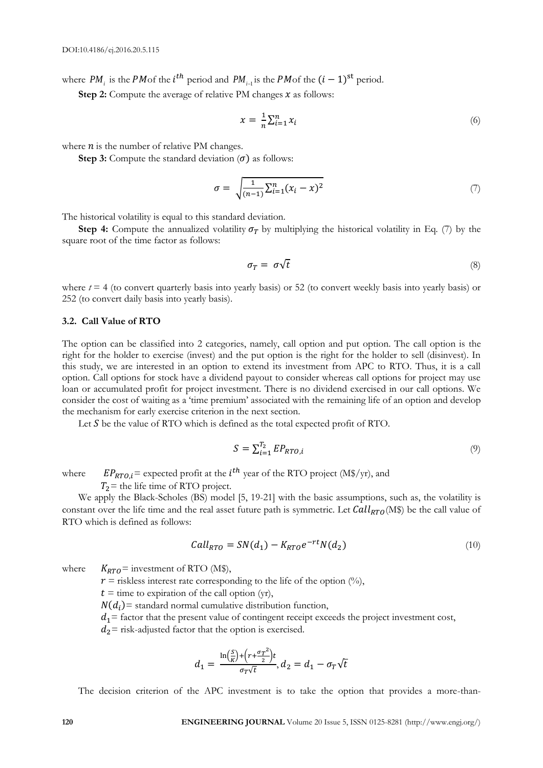where  $PM_i$  is the PMof the  $i^{th}$  period and  $PM_{i-1}$  is the PMof the  $(i-1)^{st}$  period.

**Step 2:** Compute the average of relative PM changes  $x$  as follows:

$$
x = \frac{1}{n} \sum_{i=1}^{n} x_i \tag{6}
$$

where  $n$  is the number of relative PM changes.

**Step 3:** Compute the standard deviation  $(\sigma)$  as follows:

$$
\sigma = \sqrt{\frac{1}{(n-1)} \sum_{i=1}^{n} (x_i - x)^2}
$$
\n(7)

The historical volatility is equal to this standard deviation.

**Step 4:** Compute the annualized volatility  $\sigma_T$  by multiplying the historical volatility in Eq. (7) by the square root of the time factor as follows:

$$
\sigma_T = \sigma \sqrt{t} \tag{8}
$$

where  $t = 4$  (to convert quarterly basis into yearly basis) or 52 (to convert weekly basis into yearly basis) or 252 (to convert daily basis into yearly basis).

## **3.2. Call Value of RTO**

The option can be classified into 2 categories, namely, call option and put option. The call option is the right for the holder to exercise (invest) and the put option is the right for the holder to sell (disinvest). In this study, we are interested in an option to extend its investment from APC to RTO. Thus, it is a call option. Call options for stock have a dividend payout to consider whereas call options for project may use loan or accumulated profit for project investment. There is no dividend exercised in our call options. We consider the cost of waiting as a 'time premium' associated with the remaining life of an option and develop the mechanism for early exercise criterion in the next section.

Let  $S$  be the value of RTO which is defined as the total expected profit of RTO.

$$
S = \sum_{i=1}^{T_2} EP_{RTO,i} \tag{9}
$$

where  $EP_{RTO,i}$  = expected profit at the *i*<sup>th</sup> year of the RTO project (M\$/yr), and

 $T_2$  = the life time of RTO project.

We apply the Black-Scholes (BS) model [5, 19-21] with the basic assumptions, such as, the volatility is constant over the life time and the real asset future path is symmetric. Let  $Call_{RTO}(M\%)$  be the call value of RTO which is defined as follows:

$$
Call_{RTO} = SN(d_1) - K_{RTO}e^{-rt}N(d_2)
$$
\n
$$
(10)
$$

where  $K_{RTO}$  = investment of RTO (M\$),

 $r =$  riskless interest rate corresponding to the life of the option (%),

 $t =$  time to expiration of the call option (yr),

 $N(d_i)$  = standard normal cumulative distribution function,

 $d_1$  = factor that the present value of contingent receipt exceeds the project investment cost,

 $d_2$  = risk-adjusted factor that the option is exercised.

$$
d_1 = \frac{\ln\left(\frac{S}{K}\right) + \left(r + \frac{\sigma_T^2}{2}\right)t}{\sigma_T \sqrt{t}}, d_2 = d_1 - \sigma_T \sqrt{t}
$$

The decision criterion of the APC investment is to take the option that provides a more-than-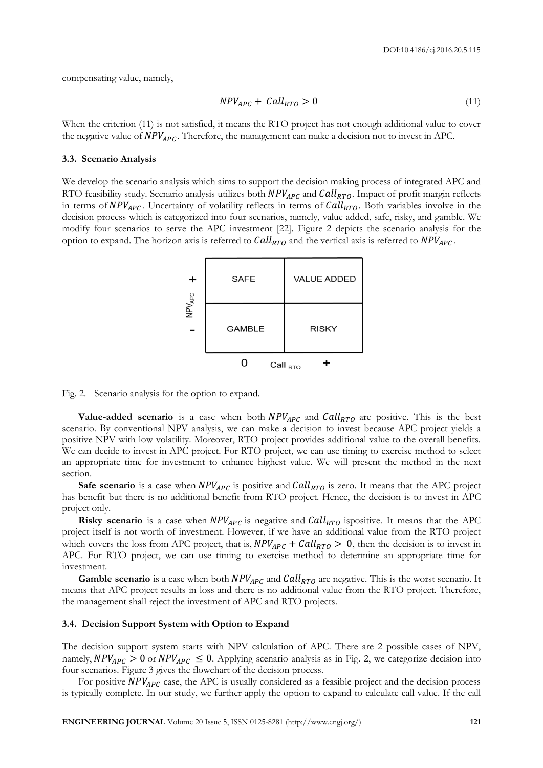compensating value, namely,

$$
NPV_{APC} + Call_{RTO} > 0 \tag{11}
$$

When the criterion (11) is not satisfied, it means the RTO project has not enough additional value to cover the negative value of  $NPV_{APC}$ . Therefore, the management can make a decision not to invest in APC.

#### **3.3. Scenario Analysis**

We develop the scenario analysis which aims to support the decision making process of integrated APC and RTO feasibility study. Scenario analysis utilizes both  $NPV_{APC}$  and  $Call_{RTO}$ . Impact of profit margin reflects in terms of  $NPV_{APC}$ . Uncertainty of volatility reflects in terms of  $Call_{RTO}$ . Both variables involve in the decision process which is categorized into four scenarios, namely, value added, safe, risky, and gamble. We modify four scenarios to serve the APC investment [22]. Figure 2 depicts the scenario analysis for the option to expand. The horizon axis is referred to  $Call_{RTO}$  and the vertical axis is referred to  $NPV_{APC}$ .

| $\ddot{}$                 | <b>SAFE</b>   | <b>VALUE ADDED</b> |
|---------------------------|---------------|--------------------|
| <b>NPV</b> <sub>APC</sub> | <b>GAMBLE</b> | <b>RISKY</b>       |
|                           |               | Call $_{\rm RTO}$  |

Fig. 2. Scenario analysis for the option to expand.

**Value-added scenario** is a case when both  $NPV_{APC}$  and  $Call_{RTO}$  are positive. This is the best scenario. By conventional NPV analysis, we can make a decision to invest because APC project yields a positive NPV with low volatility. Moreover, RTO project provides additional value to the overall benefits. We can decide to invest in APC project. For RTO project, we can use timing to exercise method to select an appropriate time for investment to enhance highest value. We will present the method in the next section.

**Safe scenario** is a case when  $NPV_{APC}$  is positive and  $Call_{RTO}$  is zero. It means that the APC project has benefit but there is no additional benefit from RTO project. Hence, the decision is to invest in APC project only.

**Risky scenario** is a case when  $NPV_{APC}$  is negative and  $Call_{RTO}$  ispositive. It means that the APC project itself is not worth of investment. However, if we have an additional value from the RTO project which covers the loss from APC project, that is,  $NPV_{APC} + Call_{RTO} > 0$ , then the decision is to invest in APC. For RTO project, we can use timing to exercise method to determine an appropriate time for investment.

**Gamble scenario** is a case when both  $NPV_{APC}$  and  $Call_{RTO}$  are negative. This is the worst scenario. It means that APC project results in loss and there is no additional value from the RTO project. Therefore, the management shall reject the investment of APC and RTO projects.

#### **3.4. Decision Support System with Option to Expand**

The decision support system starts with NPV calculation of APC. There are 2 possible cases of NPV, namely,  $NPV_{APC} > 0$  or  $NPV_{APC} \le 0$ . Applying scenario analysis as in Fig. 2, we categorize decision into four scenarios. Figure 3 gives the flowchart of the decision process.

For positive  $NPV_{APC}$  case, the APC is usually considered as a feasible project and the decision process is typically complete. In our study, we further apply the option to expand to calculate call value. If the call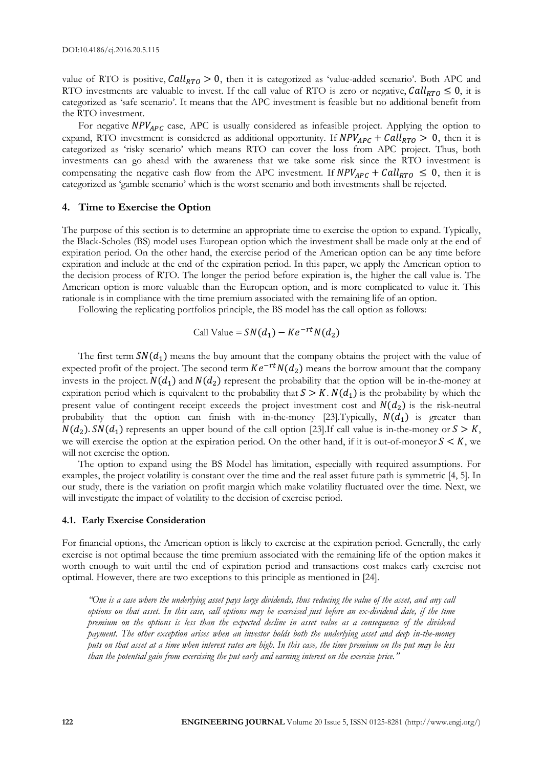value of RTO is positive,  $Call_{RTO} > 0$ , then it is categorized as 'value-added scenario'. Both APC and RTO investments are valuable to invest. If the call value of RTO is zero or negative,  $Call_{RTO} \leq 0$ , it is categorized as 'safe scenario'. It means that the APC investment is feasible but no additional benefit from the RTO investment.

For negative  $NPV_{APC}$  case, APC is usually considered as infeasible project. Applying the option to expand, RTO investment is considered as additional opportunity. If  $NPV_{APC} + Call_{RTO} > 0$ , then it is categorized as 'risky scenario' which means RTO can cover the loss from APC project. Thus, both investments can go ahead with the awareness that we take some risk since the RTO investment is compensating the negative cash flow from the APC investment. If  $NPV_{APC} + Call_{RTO} \leq 0$ , then it is categorized as 'gamble scenario' which is the worst scenario and both investments shall be rejected.

# **4. Time to Exercise the Option**

The purpose of this section is to determine an appropriate time to exercise the option to expand. Typically, the Black-Scholes (BS) model uses European option which the investment shall be made only at the end of expiration period. On the other hand, the exercise period of the American option can be any time before expiration and include at the end of the expiration period. In this paper, we apply the American option to the decision process of RTO. The longer the period before expiration is, the higher the call value is. The American option is more valuable than the European option, and is more complicated to value it. This rationale is in compliance with the time premium associated with the remaining life of an option.

Following the replicating portfolios principle, the BS model has the call option as follows:

Call Value = 
$$
SN(d_1) - Ke^{-rt}N(d_2)
$$

The first term  $SN(d_1)$  means the buy amount that the company obtains the project with the value of expected profit of the project. The second term  $Ke^{-rt}N(d_2)$  means the borrow amount that the company invests in the project.  $N(d_1)$  and  $N(d_2)$  represent the probability that the option will be in-the-money at expiration period which is equivalent to the probability that  $S > K$ .  $N(d_1)$  is the probability by which the present value of contingent receipt exceeds the project investment cost and  $N(d_2)$  is the risk-neutral probability that the option can finish with in-the-money [23]. Typically,  $N(d_1)$  is greater than  $N(d_2)$ .  $SN(d_1)$  represents an upper bound of the call option [23]. If call value is in-the-money or  $S > K$ , we will exercise the option at the expiration period. On the other hand, if it is out-of-moneyor  $S < K$ , we will not exercise the option.

The option to expand using the BS Model has limitation, especially with required assumptions. For examples, the project volatility is constant over the time and the real asset future path is symmetric [4, 5]. In our study, there is the variation on profit margin which make volatility fluctuated over the time. Next, we will investigate the impact of volatility to the decision of exercise period.

#### **4.1. Early Exercise Consideration**

For financial options, the American option is likely to exercise at the expiration period. Generally, the early exercise is not optimal because the time premium associated with the remaining life of the option makes it worth enough to wait until the end of expiration period and transactions cost makes early exercise not optimal. However, there are two exceptions to this principle as mentioned in [24].

*"One is a case where the underlying asset pays large dividends, thus reducing the value of the asset, and any call options on that asset. In this case, call options may be exercised just before an ex-dividend date, if the time premium on the options is less than the expected decline in asset value as a consequence of the dividend payment. The other exception arises when an investor holds both the underlying asset and deep in-the-money puts on that asset at a time when interest rates are high. In this case, the time premium on the put may be less than the potential gain from exercising the put early and earning interest on the exercise price."*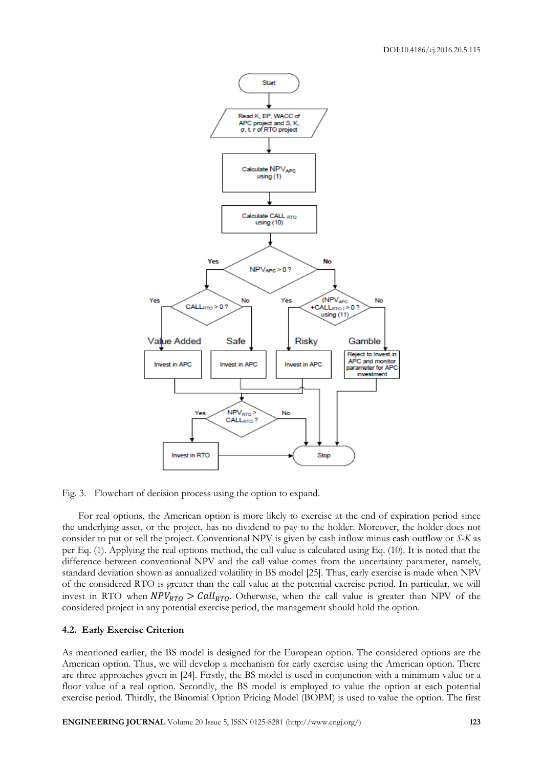

Fig. 3. Flowchart of decision process using the option to expand.

For real options, the American option is more likely to exercise at the end of expiration period since the underlying asset, or the project, has no dividend to pay to the holder. Moreover, the holder does not consider to put or sell the project. Conventional NPV is given by cash inflow minus cash outflow or *S*-*K* as per Eq. (1). Applying the real options method, the call value is calculated using Eq. (10). It is noted that the difference between conventional NPV and the call value comes from the uncertainty parameter, namely, standard deviation shown as annualized volatility in BS model [25]. Thus, early exercise is made when NPV of the considered RTO is greater than the call value at the potential exercise period. In particular, we will invest in RTO when  $NPV_{RTO} > Call_{RTO}$ . Otherwise, when the call value is greater than NPV of the considered project in any potential exercise period, the management should hold the option.

#### **4.2. Early Exercise Criterion**

As mentioned earlier, the BS model is designed for the European option. The considered options are the American option. Thus, we will develop a mechanism for early exercise using the American option. There are three approaches given in [24]. Firstly, the BS model is used in conjunction with a minimum value or a floor value of a real option. Secondly, the BS model is employed to value the option at each potential exercise period. Thirdly, the Binomial Option Pricing Model (BOPM) is used to value the option. The first

**ENGINEERING JOURNAL** Volume 20 Issue 5, ISSN 0125-8281 (http://www.engj.org/) **123**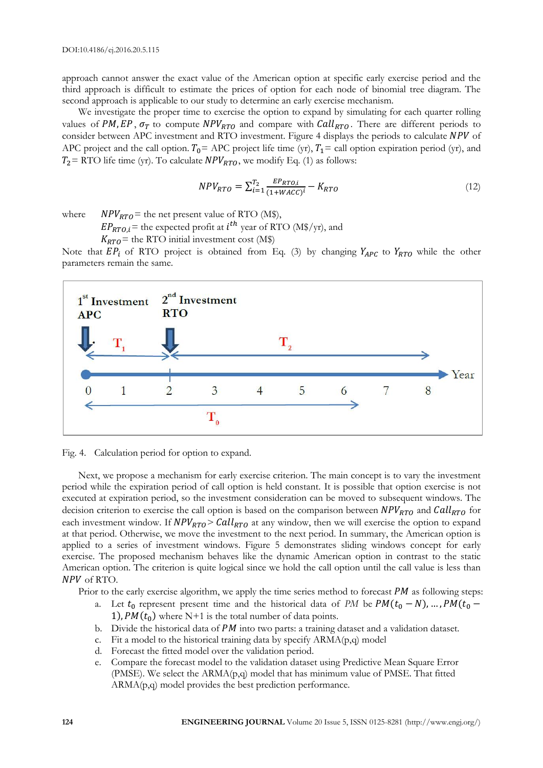approach cannot answer the exact value of the American option at specific early exercise period and the third approach is difficult to estimate the prices of option for each node of binomial tree diagram. The second approach is applicable to our study to determine an early exercise mechanism.

We investigate the proper time to exercise the option to expand by simulating for each quarter rolling values of PM, EP,  $\sigma_T$  to compute NPV<sub>RTO</sub> and compare with Call<sub>RTO</sub>. There are different periods to consider between APC investment and RTO investment. Figure 4 displays the periods to calculate NPV of APC project and the call option.  $T_0$  = APC project life time (yr),  $T_1$  = call option expiration period (yr), and  $T_2$  = RTO life time (yr). To calculate  $NPV_{RTO}$ , we modify Eq. (1) as follows:

$$
NPV_{RTO} = \sum_{i=1}^{T_2} \frac{E_{RTO,i}}{(1 + WACC)^i} - K_{RTO}
$$
\n(12)

where  $NPV_{RTO}$  = the net present value of RTO (M\$),

 $EP_{RTO,i}$  = the expected profit at  $i^{th}$  year of RTO (M\$/yr), and

 $K_{RTO}$  = the RTO initial investment cost (M\$)

Note that  $EP_i$  of RTO project is obtained from Eq. (3) by changing  $Y_{APC}$  to  $Y_{RTO}$  while the other parameters remain the same.



Fig. 4. Calculation period for option to expand.

Next, we propose a mechanism for early exercise criterion. The main concept is to vary the investment period while the expiration period of call option is held constant. It is possible that option exercise is not executed at expiration period, so the investment consideration can be moved to subsequent windows. The decision criterion to exercise the call option is based on the comparison between  $NPV_{RTO}$  and  $Call_{RTO}$  for each investment window. If  $NPV_{RTO} > Call_{RTO}$  at any window, then we will exercise the option to expand at that period. Otherwise, we move the investment to the next period. In summary, the American option is applied to a series of investment windows. Figure 5 demonstrates sliding windows concept for early exercise. The proposed mechanism behaves like the dynamic American option in contrast to the static American option. The criterion is quite logical since we hold the call option until the call value is less than NPV of RTO.

Prior to the early exercise algorithm, we apply the time series method to forecast  $PM$  as following steps:

- a. Let  $t_0$  represent present time and the historical data of *PM* be  $PM(t_0 N)$ , ...,  $PM(t_0 N)$ 1),  $PM(t_0)$  where N+1 is the total number of data points.
- b. Divide the historical data of  $PM$  into two parts: a training dataset and a validation dataset.
- c. Fit a model to the historical training data by specify ARMA(p,q) model
- d. Forecast the fitted model over the validation period.
- e. Compare the forecast model to the validation dataset using Predictive Mean Square Error (PMSE). We select the  $ARMA(p,q)$  model that has minimum value of PMSE. That fitted ARMA(p,q) model provides the best prediction performance.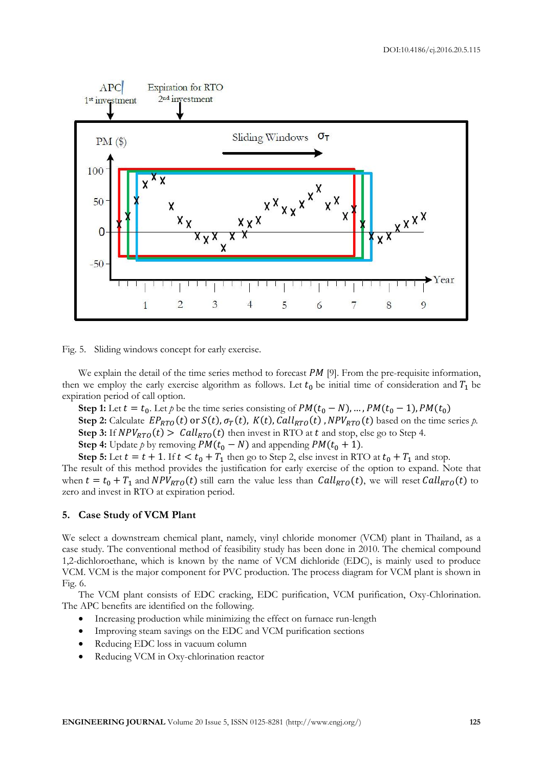

Fig. 5. Sliding windows concept for early exercise.

We explain the detail of the time series method to forecast  $PM$  [9]. From the pre-requisite information, then we employ the early exercise algorithm as follows. Let  $t_0$  be initial time of consideration and  $T_1$  be expiration period of call option.

**Step 1:** Let  $t = t_0$ . Let p be the time series consisting of  $PM(t_0 - N)$ , ...,  $PM(t_0 - 1)$ ,  $PM(t_0)$ **Step 2:** Calculate  $EP_{RTO}(t)$  or  $S(t)$ ,  $\sigma_T(t)$ ,  $K(t)$ ,  $Call_{RTO}(t)$ ,  $NPV_{RTO}(t)$  based on the time series p. **Step 3:** If  $NPV_{RTO}(t) > Call_{RTO}(t)$  then invest in RTO at t and stop, else go to Step 4. **Step 4:** Update *p* by removing  $PM(t_0 - N)$  and appending  $PM(t_0 + 1)$ .

**Step 5:** Let  $t = t + 1$ . If  $t < t_0 + T_1$  then go to Step 2, else invest in RTO at  $t_0 + T_1$  and stop.

The result of this method provides the justification for early exercise of the option to expand. Note that when  $t = t_0 + T_1$  and  $NPV_{RTO}(t)$  still earn the value less than  $Call_{RTO}(t)$ , we will reset  $Call_{RTO}(t)$  to zero and invest in RTO at expiration period.

# **5. Case Study of VCM Plant**

We select a downstream chemical plant, namely, [vinyl chloride](http://en.wikipedia.org/wiki/Vinyl_chloride) [monomer](http://en.wikipedia.org/wiki/Monomer) (VCM) plant in Thailand, as a case study. The conventional method of feasibility study has been done in 2010. The [chemical compound](http://en.wikipedia.org/wiki/Chemical_compound) 1,2-dichloroethane, which is known by the name of VCM dichloride (EDC), is mainly used to produce VCM. VCM is the major [component](http://en.wiktionary.org/wiki/Precursor) for [PVC](http://en.wikipedia.org/wiki/Polyvinyl_chloride) production. The process diagram for VCM plant is shown in Fig. 6.

The VCM plant consists of EDC cracking, EDC purification, VCM purification, Oxy-Chlorination. The APC benefits are identified on the following.

- Increasing production while minimizing the effect on furnace run-length
- Improving steam savings on the EDC and VCM purification sections
- Reducing EDC loss in vacuum column
- Reducing VCM in Oxy-chlorination reactor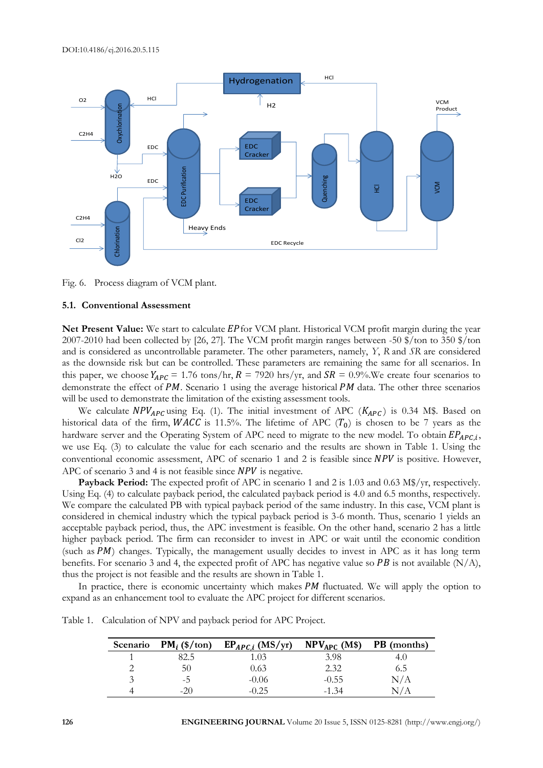

Fig. 6. Process diagram of VCM plant.

# **5.1. Conventional Assessment**

Net Present Value: We start to calculate EP for VCM plant. Historical VCM profit margin during the year 2007-2010 had been collected by [26, 27]. The VCM profit margin ranges between -50 \$/ton to 350 \$/ton and is considered as uncontrollable parameter. The other parameters, namely, *Y*, *R* and *SR* are considered as the downside risk but can be controlled. These parameters are remaining the same for all scenarios. In this paper, we choose  $Y_{APC} = 1.76$  tons/hr,  $R = 7920$  hrs/yr, and  $SR = 0.9\%$ . We create four scenarios to demonstrate the effect of  $PM$ . Scenario 1 using the average historical  $PM$  data. The other three scenarios will be used to demonstrate the limitation of the existing assessment tools.

We calculate  $NPV_{APC}$  using Eq. (1). The initial investment of APC ( $K_{APC}$ ) is 0.34 M\$. Based on historical data of the firm, WACC is 11.5%. The lifetime of APC  $(T_0)$  is chosen to be 7 years as the hardware server and the Operating System of APC need to migrate to the new model. To obtain  $EP_{APC,i}$ , we use Eq. (3) to calculate the value for each scenario and the results are shown in Table 1. Using the conventional economic assessment, APC of scenario 1 and 2 is feasible since  $NPV$  is positive. However, APC of scenario 3 and 4 is not feasible since  $NPV$  is negative.

**Payback Period:** The expected profit of APC in scenario 1 and 2 is 1.03 and 0.63 M\$/yr, respectively. Using Eq. (4) to calculate payback period, the calculated payback period is 4.0 and 6.5 months, respectively. We compare the calculated PB with typical payback period of the same industry. In this case, VCM plant is considered in chemical industry which the typical payback period is 3-6 month. Thus, scenario 1 yields an acceptable payback period, thus, the APC investment is feasible. On the other hand, scenario 2 has a little higher payback period. The firm can reconsider to invest in APC or wait until the economic condition (such as  $PM$ ) changes. Typically, the management usually decides to invest in APC as it has long term benefits. For scenario 3 and 4, the expected profit of APC has negative value so PB is not available  $(N/A)$ , thus the project is not feasible and the results are shown in Table 1.

In practice, there is economic uncertainty which makes  $PM$  fluctuated. We will apply the option to expand as an enhancement tool to evaluate the APC project for different scenarios.

Table 1. Calculation of NPV and payback period for APC Project.

| Scenario | $PM_i$ (\$/ton) | $EP_{APC,i}$ (MS/yr) | $NPV_{APC}$ (M\$) | <b>PB</b> (months) |
|----------|-----------------|----------------------|-------------------|--------------------|
|          | 82.5            | 1.03                 | 3.98              | 4.O                |
|          | 50              | 0.63                 | 2.32              | 6.5                |
|          | -ר.             | $-0.06$              | $-0.55$           | N/A                |
|          | $-20$           | $-0.25$              | $-1.34$           |                    |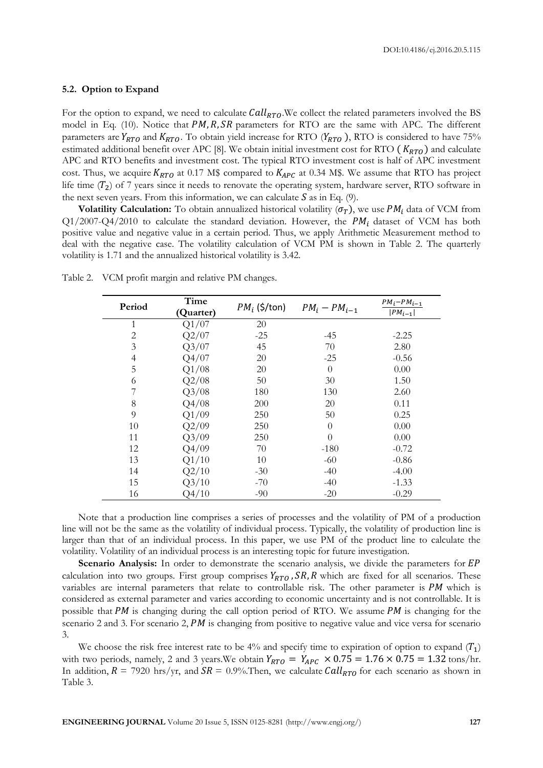#### **5.2. Option to Expand**

For the option to expand, we need to calculate  $Call_{RTO}$ . We collect the related parameters involved the BS model in Eq. (10). Notice that  $PM, R, SR$  parameters for RTO are the same with APC. The different parameters are  $Y_{RTO}$  and  $K_{RTO}$ . To obtain yield increase for RTO ( $Y_{RTO}$ ), RTO is considered to have 75% estimated additional benefit over APC [8]. We obtain initial investment cost for RTO ( $K_{RTO}$ ) and calculate APC and RTO benefits and investment cost. The typical RTO investment cost is half of APC investment cost. Thus, we acquire  $K_{RTO}$  at 0.17 M\$ compared to  $K_{APC}$  at 0.34 M\$. We assume that RTO has project life time  $(T_2)$  of 7 years since it needs to renovate the operating system, hardware server, RTO software in the next seven years. From this information, we can calculate  $S$  as in Eq. (9).

**Volatility Calculation:** To obtain annualized historical volatility  $(\sigma_T)$ , we use  $PM_i$  data of VCM from  $Q1/2007-Q4/2010$  to calculate the standard deviation. However, the PM<sub>i</sub> dataset of VCM has both positive value and negative value in a certain period. Thus, we apply Arithmetic Measurement method to deal with the negative case. The volatility calculation of VCM PM is shown in Table 2. The quarterly volatility is 1.71 and the annualized historical volatility is 3.42.

| Period | Time<br>(Quarter) | $PM_i$ (\$/ton) | $PM_i - PM_{i-1}$ | $PM_i$ - $PM_{i-1}$<br>$ PM_{i-1} $ |
|--------|-------------------|-----------------|-------------------|-------------------------------------|
| 1      | Q1/07             | 20              |                   |                                     |
| 2      | Q2/07             | $-25$           | -45               | $-2.25$                             |
| 3      | Q3/07             | 45              | 70                | 2.80                                |
| 4      | Q4/07             | 20              | $-25$             | $-0.56$                             |
| 5      | Q1/08             | 20              | $\Omega$          | 0.00                                |
| 6      | Q2/08             | 50              | 30                | 1.50                                |
|        | Q3/08             | 180             | 130               | 2.60                                |
| 8      | Q4/08             | 200             | 20                | 0.11                                |
| 9      | Q1/09             | 250             | 50                | 0.25                                |
| 10     | Q2/09             | 250             | $\Omega$          | 0.00                                |
| 11     | Q3/09             | 250             | $\theta$          | 0.00                                |
| 12     | Q4/09             | 70              | $-180$            | $-0.72$                             |
| 13     | Q1/10             | 10              | $-60$             | $-0.86$                             |
| 14     | Q2/10             | $-30$           | $-40$             | $-4.00$                             |
| 15     | Q3/10             | $-70$           | $-40$             | $-1.33$                             |
| 16     | Q4/10             | $-90$           | $-20$             | $-0.29$                             |

Table 2. VCM profit margin and relative PM changes.

Note that a production line comprises a series of processes and the volatility of PM of a production line will not be the same as the volatility of individual process. Typically, the volatility of production line is larger than that of an individual process. In this paper, we use PM of the product line to calculate the volatility. Volatility of an individual process is an interesting topic for future investigation.

**Scenario Analysis:** In order to demonstrate the scenario analysis, we divide the parameters for EP calculation into two groups. First group comprises  $Y_{RTO}$ ,  $SR$ , R which are fixed for all scenarios. These variables are internal parameters that relate to controllable risk. The other parameter is  $PM$  which is considered as external parameter and varies according to economic uncertainty and is not controllable. It is possible that PM is changing during the call option period of RTO. We assume PM is changing for the scenario 2 and 3. For scenario 2,  $PM$  is changing from positive to negative value and vice versa for scenario 3.

We choose the risk free interest rate to be 4% and specify time to expiration of option to expand  $(T_1)$ with two periods, namely, 2 and 3 years. We obtain  $Y_{RTO} = Y_{APC} \times 0.75 = 1.76 \times 0.75 = 1.32$  tons/hr. In addition,  $R = 7920$  hrs/yr, and  $SR = 0.9\%$ . Then, we calculate  $Call_{RTO}$  for each scenario as shown in Table 3.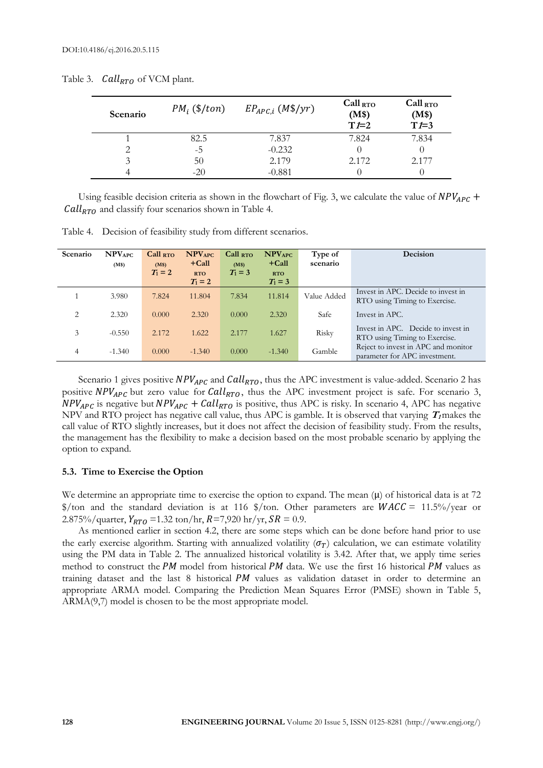| Scenario | $PM_i$ (\$/ton) | $EP_{APC,i}$ (M\$/yr) | $Call_{RTO}$<br>(M\$)<br>$T=2$ | $Call_{RTO}$<br>(M\$)<br>$T=3$ |
|----------|-----------------|-----------------------|--------------------------------|--------------------------------|
|          | 82.5            | 7.837                 | 7.824                          | 7.834                          |
| っ        | $-5$            | $-0.232$              |                                |                                |
| 3        | 50              | 2.179                 | 2.172                          | 2.177                          |
|          |                 | $-0.881$              |                                |                                |

Table 3.  $Call_{RTO}$  of VCM plant.

Using feasible decision criteria as shown in the flowchart of Fig. 3, we calculate the value of  $NPV_{APC}$  +  $\textit{Call}_{\text{RTO}}$  and classify four scenarios shown in Table 4.

Table 4. Decision of feasibility study from different scenarios.

| Scenario | $\mathbf{NPV}_{\mathrm{APC}}$<br>(M\$) | $Call_{RTO}$<br>(M\$) | <b>NPV<sub>APC</sub></b><br>$+$ Call | $Call_{RTO}$<br>(M\$) | $\mathbf{NPV}_{\mathrm{APC}}$<br>$+$ Call | Type of<br>scenario | Decision                                                             |
|----------|----------------------------------------|-----------------------|--------------------------------------|-----------------------|-------------------------------------------|---------------------|----------------------------------------------------------------------|
|          |                                        | $T_1 = 2$             | <b>RTO</b><br>$T_1 = 2$              | $T_1 = 3$             | <b>RTO</b><br>$T_1 = 3$                   |                     |                                                                      |
|          | 3.980                                  | 7.824                 | 11.804                               | 7.834                 | 11.814                                    | Value Added         | Invest in APC. Decide to invest in<br>RTO using Timing to Exercise.  |
| 2        | 2.320                                  | 0.000                 | 2.320                                | 0.000                 | 2.320                                     | Safe                | Invest in APC.                                                       |
| 3        | $-0.550$                               | 2.172                 | 1.622                                | 2.177                 | 1.627                                     | Risky               | Invest in APC. Decide to invest in<br>RTO using Timing to Exercise.  |
| 4        | $-1.340$                               | 0.000                 | $-1.340$                             | 0.000                 | $-1.340$                                  | Gamble              | Reject to invest in APC and monitor<br>parameter for APC investment. |

Scenario 1 gives positive  $NPV_{APC}$  and  $Call_{RTO}$ , thus the APC investment is value-added. Scenario 2 has positive  $NPV_{APC}$  but zero value for  $Call_{RTO}$ , thus the APC investment project is safe. For scenario 3,  $NPV_{APC}$  is negative but  $NPV_{APC}$  +  $Call_{RTO}$  is positive, thus APC is risky. In scenario 4, APC has negative NPV and RTO project has negative call value, thus APC is gamble. It is observed that varying  $T_I$  makes the call value of RTO slightly increases, but it does not affect the decision of feasibility study. From the results, the management has the flexibility to make a decision based on the most probable scenario by applying the option to expand.

# **5.3. Time to Exercise the Option**

We determine an appropriate time to exercise the option to expand. The mean  $(\mu)$  of historical data is at 72 \$/ton and the standard deviation is at 116 \$/ton. Other parameters are  $WACC = 11.5\%$ /year or 2.875%/quarter,  $Y_{RTO}$  =1.32 ton/hr,  $R=7,920$  hr/yr,  $SR = 0.9$ .

As mentioned earlier in section 4.2, there are some steps which can be done before hand prior to use the early exercise algorithm. Starting with annualized volatility  $(\sigma_T)$  calculation, we can estimate volatility using the PM data in Table 2. The annualized historical volatility is 3.42. After that, we apply time series method to construct the PM model from historical PM data. We use the first 16 historical PM values as training dataset and the last  $8$  historical  $PM$  values as validation dataset in order to determine an appropriate ARMA model. Comparing the Prediction Mean Squares Error (PMSE) shown in Table 5, ARMA(9,7) model is chosen to be the most appropriate model.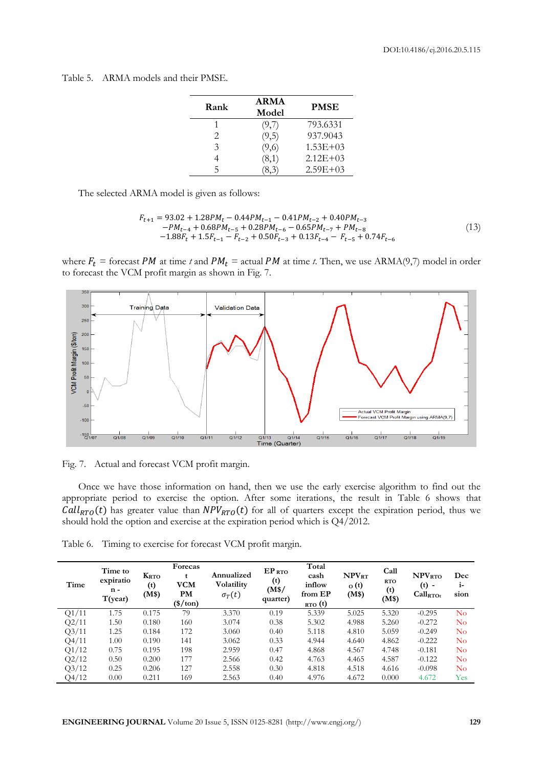Table 5. ARMA models and their PMSE.

| Rank                        | <b>ARMA</b><br>Model | <b>PMSE</b>  |
|-----------------------------|----------------------|--------------|
|                             | (9,7)                | 793.6331     |
| $\mathcal{D}_{\cdot}$       | (9,5)                | 937.9043     |
| $\mathcal{Z}_{\mathcal{A}}$ | (9,6)                | $1.53E + 03$ |
| 4                           | (8,1)                | $2.12E + 03$ |
| 5                           |                      | $2.59E + 03$ |

The selected ARMA model is given as follows:

$$
F_{t+1} = 93.02 + 1.28PM_t - 0.44PM_{t-1} - 0.41PM_{t-2} + 0.40PM_{t-3}
$$
  
-
$$
PM_{t-4} + 0.68PM_{t-5} + 0.28PM_{t-6} - 0.65PM_{t-7} + PM_{t-8}
$$
  
-
$$
1.88F_t + 1.5F_{t-1} - F_{t-2} + 0.50F_{t-3} + 0.13F_{t-4} - F_{t-5} + 0.74F_{t-6}
$$
  
(13)

where  $F_t$  = forecast PM at time t and PM<sub>t</sub> = actual PM at time t. Then, we use ARMA(9,7) model in order to forecast the VCM profit margin as shown in Fig. 7.



Fig. 7. Actual and forecast VCM profit margin.

Once we have those information on hand, then we use the early exercise algorithm to find out the appropriate period to exercise the option. After some iterations, the result in Table 6 shows that Call<sub>RTO</sub>(t) has greater value than  $NPV_{RTO}(t)$  for all of quarters except the expiration period, thus we should hold the option and exercise at the expiration period which is Q4/2012.

Table 6. Timing to exercise for forecast VCM profit margin.

| Time  | Time to<br>expiratio<br>$n -$<br>T(year) | <b>K</b> <sub>RTO</sub><br>(t)<br>(M\$) | Forecas<br><b>VCM</b><br><b>PM</b><br>$(\$/ton)$ | Annualized<br>Volatility<br>$\sigma_T(t)$ | $EP_{RTO}$<br>(t)<br>(M\$/<br>quarter) | Total<br>cash<br>inflow<br>from EP<br>RTO(t) | NPV <sub>RT</sub><br>o(t)<br>(M\$) | Call<br><b>RTO</b><br>(t)<br>(M\$) | <b>NPV<sub>RTO</sub></b><br>(t)<br>$\overline{\phantom{a}}$<br>$Call_{\rm RTOt}$ | Dec<br>$1-$<br>sion |
|-------|------------------------------------------|-----------------------------------------|--------------------------------------------------|-------------------------------------------|----------------------------------------|----------------------------------------------|------------------------------------|------------------------------------|----------------------------------------------------------------------------------|---------------------|
| Q1/11 | 1.75                                     | 0.175                                   | 79                                               | 3.370                                     | 0.19                                   | 5.339                                        | 5.025                              | 5.320                              | $-0.295$                                                                         | $\rm No$            |
| Q2/11 | 1.50                                     | 0.180                                   | 160                                              | 3.074                                     | 0.38                                   | 5.302                                        | 4.988                              | 5.260                              | $-0.272$                                                                         | $\rm No$            |
| Q3/11 | 1.25                                     | 0.184                                   | 172                                              | 3.060                                     | 0.40                                   | 5.118                                        | 4.810                              | 5.059                              | $-0.249$                                                                         | $\rm No$            |
| Q4/11 | 1.00                                     | 0.190                                   | 141                                              | 3.062                                     | 0.33                                   | 4.944                                        | 4.640                              | 4.862                              | $-0.222$                                                                         | $\rm No$            |
| Q1/12 | 0.75                                     | 0.195                                   | 198                                              | 2.959                                     | 0.47                                   | 4.868                                        | 4.567                              | 4.748                              | $-0.181$                                                                         | $\rm No$            |
| Q2/12 | 0.50                                     | 0.200                                   | 177                                              | 2.566                                     | 0.42                                   | 4.763                                        | 4.465                              | 4.587                              | $-0.122$                                                                         | $\rm No$            |
| Q3/12 | 0.25                                     | 0.206                                   | 127                                              | 2.558                                     | 0.30                                   | 4.818                                        | 4.518                              | 4.616                              | $-0.098$                                                                         | $\rm No$            |
| Q4/12 | 0.00                                     | 0.211                                   | 169                                              | 2.563                                     | 0.40                                   | 4.976                                        | 4.672                              | 0.000                              | 4.672                                                                            | Yes                 |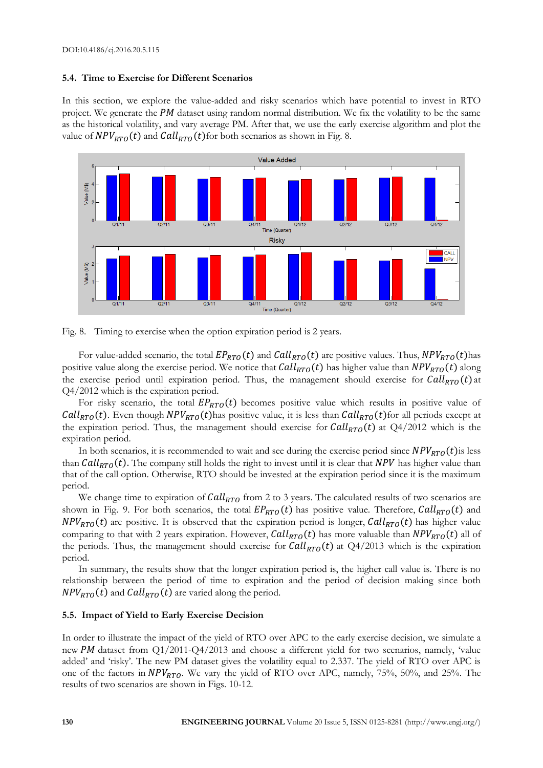## **5.4. Time to Exercise for Different Scenarios**

In this section, we explore the value-added and risky scenarios which have potential to invest in RTO project. We generate the  $PM$  dataset using random normal distribution. We fix the volatility to be the same as the historical volatility, and vary average PM. After that, we use the early exercise algorithm and plot the value of  $NPV_{RTO}(t)$  and  $Call_{RTO}(t)$  for both scenarios as shown in Fig. 8.





For value-added scenario, the total  $EP_{RTO}(t)$  and  $Call_{RTO}(t)$  are positive values. Thus,  $NPV_{RTO}(t)$  has positive value along the exercise period. We notice that  $Call_{RTO}(t)$  has higher value than  $NPV_{RTO}(t)$  along the exercise period until expiration period. Thus, the management should exercise for  $Call_{RTO}(t)$  at Q4/2012 which is the expiration period.

For risky scenario, the total  $EP_{RTO}(t)$  becomes positive value which results in positive value of  $Call_{RTO}(t)$ . Even though  $NPV_{RTO}(t)$  has positive value, it is less than  $Call_{RTO}(t)$  for all periods except at the expiration period. Thus, the management should exercise for  $Call_{RTO}(t)$  at  $Q4/2012$  which is the expiration period.

In both scenarios, it is recommended to wait and see during the exercise period since  $NPV_{RTO}(t)$  is less than  $Call_{RTO}(t)$ . The company still holds the right to invest until it is clear that NPV has higher value than that of the call option. Otherwise, RTO should be invested at the expiration period since it is the maximum period.

We change time to expiration of  $Call_{RTO}$  from 2 to 3 years. The calculated results of two scenarios are shown in Fig. 9. For both scenarios, the total  $EP_{RTO}(t)$  has positive value. Therefore,  $Call_{RTO}(t)$  and  $NPV_{RTO}(t)$  are positive. It is observed that the expiration period is longer,  $Call_{RTO}(t)$  has higher value comparing to that with 2 years expiration. However,  $Call_{RTO}(t)$  has more valuable than  $NPV_{RTO}(t)$  all of the periods. Thus, the management should exercise for  $Call_{RTO}(t)$  at  $Q4/2013$  which is the expiration period.

In summary, the results show that the longer expiration period is, the higher call value is. There is no relationship between the period of time to expiration and the period of decision making since both  $NPV_{RTO}(t)$  and  $Call_{RTO}(t)$  are varied along the period.

# **5.5. Impact of Yield to Early Exercise Decision**

In order to illustrate the impact of the yield of RTO over APC to the early exercise decision, we simulate a new PM dataset from  $Q1/2011-Q4/2013$  and choose a different yield for two scenarios, namely, 'value added' and 'risky'. The new PM dataset gives the volatility equal to 2.337. The yield of RTO over APC is one of the factors in  $NPV_{RTO}$ . We vary the yield of RTO over APC, namely, 75%, 50%, and 25%. The results of two scenarios are shown in Figs. 10-12.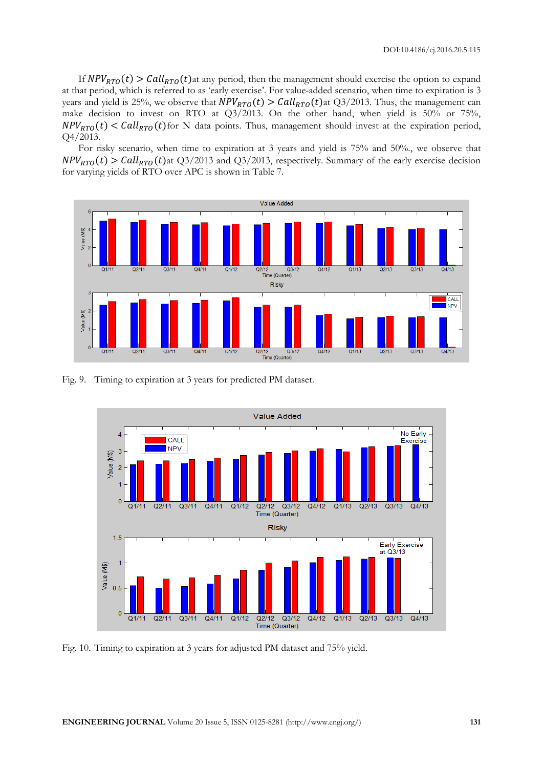If  $NPV_{RTO}(t) > Call_{RTO}(t)$  at any period, then the management should exercise the option to expand at that period, which is referred to as 'early exercise'. For value-added scenario, when time to expiration is 3 years and yield is 25%, we observe that  $NPV_{RTO}(t) > Call_{RTO}(t)$  at Q3/2013. Thus, the management can make decision to invest on RTO at Q3/2013. On the other hand, when yield is 50% or 75%,  $NPV_{RTO}(t) < Call_{RTO}(t)$  for N data points. Thus, management should invest at the expiration period, Q4/2013.

For risky scenario, when time to expiration at 3 years and yield is 75% and 50%., we observe that  $NPV_{RTO}(t) > Call_{RTO}(t)$  at Q3/2013 and Q3/2013, respectively. Summary of the early exercise decision for varying yields of RTO over APC is shown in Table 7.



Fig. 9. Timing to expiration at 3 years for predicted PM dataset.



Fig. 10. Timing to expiration at 3 years for adjusted PM dataset and 75% yield.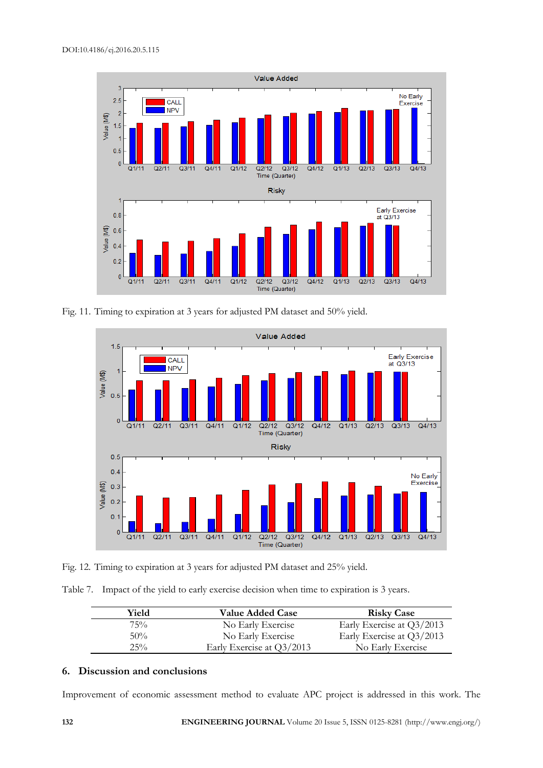

Fig. 11. Timing to expiration at 3 years for adjusted PM dataset and 50% yield.



Fig. 12. Timing to expiration at 3 years for adjusted PM dataset and 25% yield.

Table 7. Impact of the yield to early exercise decision when time to expiration is 3 years.

| Yield  | <b>Value Added Case</b>   | <b>Risky Case</b>         |
|--------|---------------------------|---------------------------|
| 75%    | No Early Exercise         | Early Exercise at Q3/2013 |
| $50\%$ | No Early Exercise         | Early Exercise at Q3/2013 |
| $25\%$ | Early Exercise at Q3/2013 | No Early Exercise         |

# **6. Discussion and conclusions**

Improvement of economic assessment method to evaluate APC project is addressed in this work. The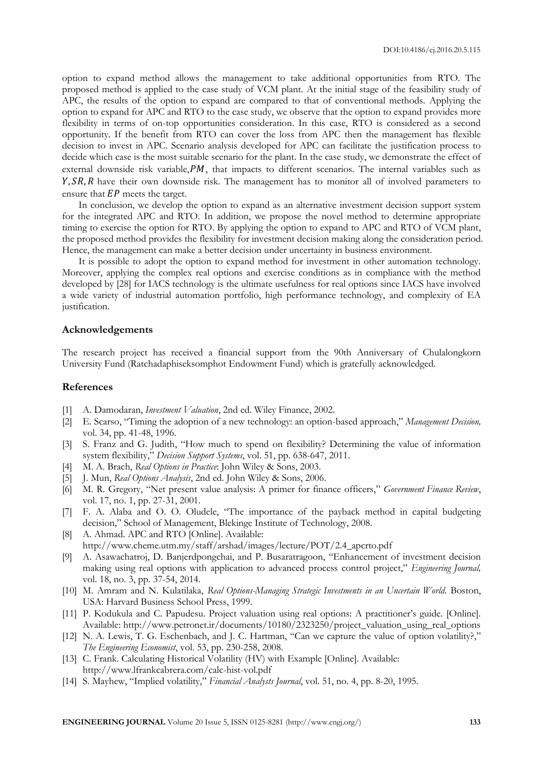option to expand method allows the management to take additional opportunities from RTO. The proposed method is applied to the case study of VCM plant. At the initial stage of the feasibility study of APC, the results of the option to expand are compared to that of conventional methods. Applying the option to expand for APC and RTO to the case study, we observe that the option to expand provides more flexibility in terms of on-top opportunities consideration. In this case, RTO is considered as a second opportunity. If the benefit from RTO can cover the loss from APC then the management has flexible decision to invest in APC. Scenario analysis developed for APC can facilitate the justification process to decide which case is the most suitable scenario for the plant. In the case study, we demonstrate the effect of external downside risk variable,  $PM$ , that impacts to different scenarios. The internal variables such as  $Y, SR, R$  have their own downside risk. The management has to monitor all of involved parameters to ensure that  $EP$  meets the target.

In conclusion, we develop the option to expand as an alternative investment decision support system for the integrated APC and RTO. In addition, we propose the novel method to determine appropriate timing to exercise the option for RTO. By applying the option to expand to APC and RTO of VCM plant, the proposed method provides the flexibility for investment decision making along the consideration period. Hence, the management can make a better decision under uncertainty in business environment.

It is possible to adopt the option to expand method for investment in other automation technology. Moreover, applying the complex real options and exercise conditions as in compliance with the method developed by [28] for IACS technology is the ultimate usefulness for real options since IACS have involved a wide variety of industrial automation portfolio, high performance technology, and complexity of EA justification.

#### **Acknowledgements**

The research project has received a financial support from the 90th Anniversary of Chulalongkorn University Fund (Ratchadaphiseksomphot Endowment Fund) which is gratefully acknowledged.

# **References**

- [1] A. Damodaran, *Investment Valuation*, 2nd ed. Wiley Finance, 2002.
- [2] E. Scarso, "Timing the adoption of a new technology: an option-based approach," *Management Decision,*  vol. 34, pp. 41-48, 1996.
- [3] S. Franz and G. Judith, "How much to spend on flexibility? Determining the value of information system flexibility," *Decision Support Systems*, vol. 51, pp. 638-647, 2011.
- [4] M. A. Brach, *Real Options in Practice*: John Wiley & Sons, 2003.
- [5] J. Mun, *Real Options Analysis*, 2nd ed. John Wiley & Sons, 2006.
- [6] M. R. Gregory, "Net present value analysis: A primer for finance officers," *Government Finance Review*, vol. 17, no. 1, pp. 27-31, 2001.
- [7] F. A. Alaba and O. O. Oludele, "The importance of the payback method in capital budgeting decision," School of Management, Blekinge Institute of Technology, 2008.
- [8] A. Ahmad. APC and RTO [Online]. Available: http://www.cheme.utm.my/staff/arshad/images/lecture/POT/2.4\_apcrto.pdf
- [9] A. Asawachatroj, D. Banjerdpongchai, and P. Busaratragoon, "Enhancement of investment decision making using real options with application to advanced process control project," *Engineering Journal,*  vol. 18, no. 3, pp. 37-54, 2014.
- [10] M. Amram and N. Kulatilaka, *Real Options-Managing Strategic Investments in an Uncertain World*. Boston, USA: Harvard Business School Press, 1999.
- [11] P. Kodukula and C. Papudesu. Project valuation using real options: A practitioner's guide. [Online]. Available: http://www.petronet.ir/documents/10180/2323250/project\_valuation\_using\_real\_options
- [12] N. A. Lewis, T. G. Eschenbach, and J. C. Hartman, "Can we capture the value of option volatility?," *The Engineering Economist*, vol. 53, pp. 230-258, 2008.
- [13] C. Frank. Calculating Historical Volatility (HV) with Example [Online]. Available: http://www.lfrankcabrera.com/calc-hist-vol.pdf
- [14] S. Mayhew, "Implied volatility," *Financial Analysts Journal*, vol. 51, no. 4, pp. 8-20, 1995.